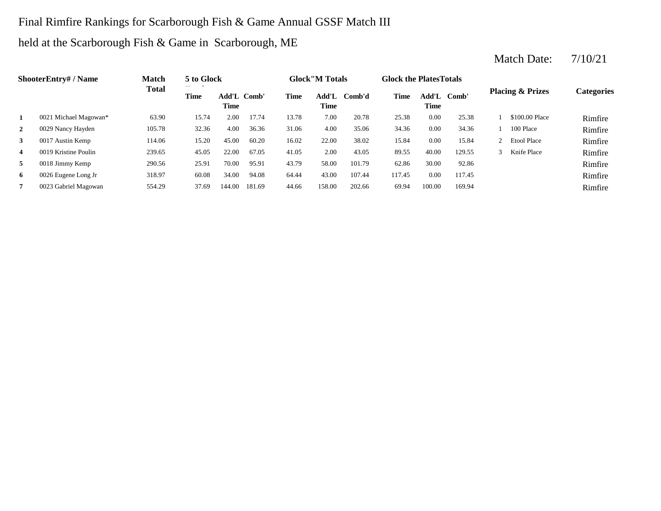## Final Rimfire Rankings for Scarborough Fish & Game Annual GSSF Match III

## held at the Scarborough Fish & Game in Scarborough, ME

#### 2 0029 Nancy Hayden 105.78 32.36 4.00 36.36 31.06 4.00 35.06 34.36 0.00 34.36 1 100 Place Rimfire **3** 22.00 17 Austin Kemp 114.06 15.20 45.00 60.20 16.02 22.00 38.02 15.84 0.00 15.84 2 Etool Place **Rimfire** 4 0019 Kristine Poulin 239.65 45.05 22.00 67.05 41.05 2.00 43.05 89.55 40.00 129.55 3 Knife Place Rimfire **5** 0018 Jimmy Kemp 290.56 25.91 70.00 95.91 43.79 58.00 101.79 62.86 30.00 92.86 2000 Finfire **6** 0026 Eugene Long Jr 318.97 60.08 34.00 94.08 64.44 43.00 107.44 117.45 0.00 117.45 **Rimfire 7** 158.00 69.94 Rimfire **ShooterEntry# / Name Match Total 5 to Glock Time Glock"M Totals Glock the PlatesTotals Placing & Prizes Categories Time Add'L Time** Add'L Comb' **Time Add'L Comb'd Time Add'L Time Time** Add'L Comb' **1** 0021 Michael Magowan\* 63.90 15.74 2.00 17.74 13.78 7.00 20.78 25.38 0.00 25.38 1 \$100.00 Place Rimfire 0029 Nancy Hayden 105.78 32.36 4.00 36.36 31.06 4.00 35.06 13.78 0017 Austin Kemp 114.06 15.20 45.00 60.20 7.00 20.78 25.38 0.00 25.38 1 \$100.00 Place 2 Etool Place 0.00 34.36 1 100 Place 40.00 129.55 16.02 22.00 38.02 15.84 0.00 15.84 239.65 45.05 22.00 67.05 41.05 43.05 3 Knife Place 0018 Jimmy Kemp 290.56 25.91 70.00 95.91 43.79 58.00 101.79 0019 Kristine Poulin 30.00 92.86 0026 Eugene Long Jr 318.97 60.08 34.00 94.08 64.44 43.00 107.44 117.45 0.00 117.45 0023 Gabriel Magowan 554.29 37.69 144.00 181.69 44.66 158.00 202.66 69.94 100.00 169.94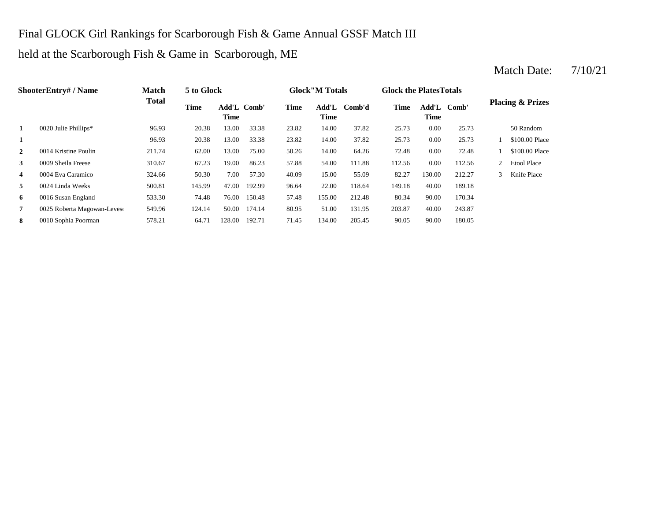## Final GLOCK Girl Rankings for Scarborough Fish & Game Annual GSSF Match III

#### held at the Scarborough Fish & Game in Scarborough, ME

#### **1** 14.00 **26.93 20.38 20.38 23.38 23.82 25.73 25.73 2** 14.00 72.48 0014 Kristine Poulin 211.74 62.00 13.00 75.00 50.26 64.26 0.00 72.48 1 \$100.00 Place **3 3 54.00 111.88 51.00 51.00 51.00 51.00 51.00 51.00 51.00 51.00 51.00 51.00 51.00 51.00 51.00 51.00 51.00 51.00 51.00 51.00 51.00 51.00 51.00 51.00 51.00 51.00 51.0 4** 0004 Eva Caramico 324.66 50.30 7.00 57.30 40.09 15.00 55.09 82.27 **5** 22.00 149.18 0024 Linda Weeks 500.81 145.99 47.00 192.99 96.64 118.64 40.00 189.18 **6** 0016 Susan England 533.30 74.48 76.00 150.48 57.48 155.00 212.48 80.34 90.00 170.34 **7** 0025 Roberta Magowan-Levesc 549.96 124.14 50.00 174.14 80.95 51.00 131.95 203.87 40.00 243.87 **8** 134.00 0010 Sophia Poorman 578.21 64.71 128.00 192.71 71.45 134.00 205.45 90.05 90.00 180.05 **ShooterEntry# / Name Match Total 5 to Glock Time Glock"M Totals Glock the PlatesTotals Placing & Prizes Time Add'L Time** Add'L Comb' **Time Add'L Comb'd Time Add'L Time Time** Add'L Comb' **1** 0020 Julie Phillips\* 96.93 20.38 13.00 33.38 23.82 14.00 37.82 25.73 0.00 25.73 50 Random 96.93 20.38 13.00 33.38 23.82 37.82 0.00 25.73 1 \$100.00 Place 0009 Sheila Freese 310.67 67.23 19.00 86.23 57.88 54.00 111.88 112.56 0.00 112.56 2 Etool Place 0004 Eva Caramico 324.66 50.30 7.00 57.30 40.09 55.09 130.00 212.27 3 Knife Place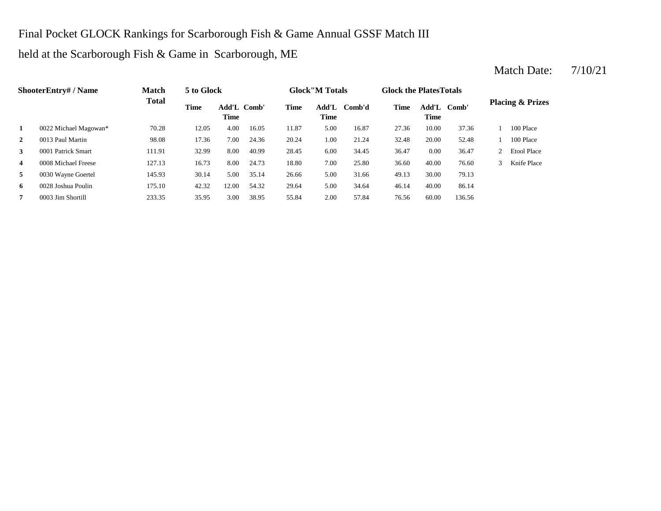## Final Pocket GLOCK Rankings for Scarborough Fish & Game Annual GSSF Match III

#### held at the Scarborough Fish & Game in Scarborough, ME

#### 2 1.00 321.24 1.00 21.24 1.348 17.36 17.36 7.00 24.36 20.24 1.00 21.24 32.48 **3** 6.00 **34.45 36.47 111.91 32.99 8.00 40.99 28.45 6.00 34.45 36.47 4** 7.00 36.60 0008 Michael Freese 127.13 16.73 8.00 24.73 18.80 25.80 40.00 76.60 3 Knife Place **5** 5.00 49.13 0030 Wayne Goertel 145.93 30.14 5.00 35.14 26.66 31.66 30.00 79.13 **6** 5.00 46.14 0028 Joshua Poulin 175.10 42.32 12.00 54.32 29.64 34.64 40.00 86.14 **7** 2.00 **7.84** 2.00 **57.84** 2.00 **57.84** 2.00 **57.84** 2.00 **57.84** 2.00 **57.84** 2.00 **57.84** 2.00 **76.56 ShooterEntry# / Name Match Total 5 to Glock Time Glock"M Totals Glock the PlatesTotals Placing & Prizes Time Add'L Time** Add'L Comb' **Time Add'L Comb'd Time Add'L Time Time** Add'L Comb' **1** 0022 Michael Magowan\* 70.28 12.05 4.00 16.05 11.87 5.00 16.87 27.36 10.00 37.36 1 100 Place 0013 Paul Martin 98.08 17.36 7.00 24.36 20.24 21.24 20.00 52.48 1 100 Place 0001 Patrick Smart 111.91 32.99 8.00 40.99 28.45 6.00 34.45 36.47 0.00 36.47 2 Etool Place 0003 Jim Shortill 233.35 35.95 3.00 38.95 55.84 2.00 57.84 76.56 60.00 136.56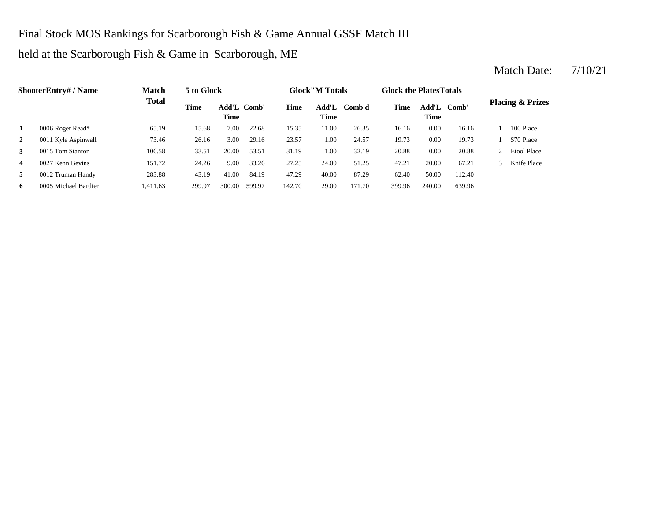## Final Stock MOS Rankings for Scarborough Fish & Game Annual GSSF Match III

### held at the Scarborough Fish & Game in Scarborough, ME

#### **2** 1.00 19.73 0011 Kyle Aspinwall 73.46 26.16 3.00 29.16 23.57 24.57 0.00 19.73 1 \$70 Place **3** 1.00 **32.19 20.88 106.58 33.51 20.00 <b>53.51 31.19 1.00 32.19 20.88 4** 0027 Kenn Bevins 151.72 24.26 9.00 33.26 27.25 24.00 51.25 47.21 **5** 40.00 **112.40 5** 41.00 84.19 41.00 84.19 47.29 40.00 87.29 62.40 50.00 112.40 **6** 0005 Michael Bardier 1,411.63 299.97 300.00 599.97 142.70 29.00 171.70 399.96 240.00 639.96 **ShooterEntry# / Name Match Total 5 to Glock Time Glock"M Totals Glock the PlatesTotals Placing & Prizes Time Add'L Time** Add'L Comb' Add'L Comb'd **Time Comb'd Time Add'L Comb' Time 1** 0006 Roger Read\* 65.19 15.68 7.00 22.68 15.35 11.00 26.35 16.16 0.00 16.16 1 100 Place 0015 Tom Stanton 106.58 33.51 20.00 53.51 31.19 1.00 32.19 20.88 0.00 20.88 2 Etool Place 0027 Kenn Bevins 151.72 24.26 9.00 33.26 27.25 24.00 51.25 47.21 20.00 67.21 3 Knife Place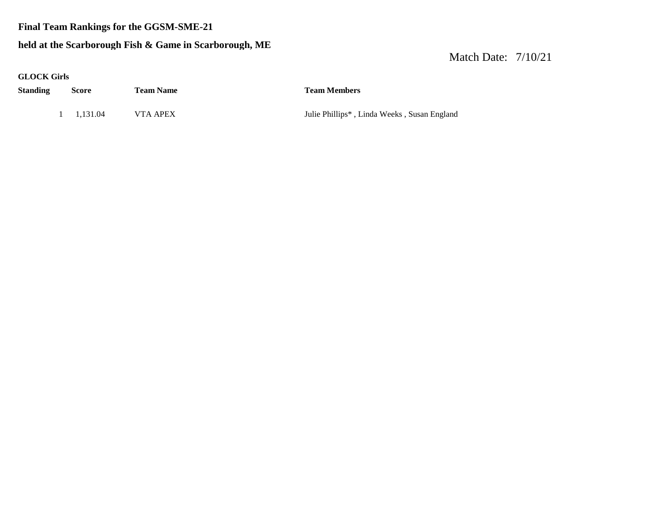#### **Final Team Rankings for the GGSM-SME-21**

#### **held at the Scarborough Fish & Game in Scarborough, ME**

| <b>GLOCK Girls</b> |                    |                  |                                             |
|--------------------|--------------------|------------------|---------------------------------------------|
| <b>Standing</b>    | <b>Score</b>       | <b>Team Name</b> | <b>Team Members</b>                         |
|                    | $1 \quad 1.131.04$ | VTA APEX         | Julie Phillips*, Linda Weeks, Susan England |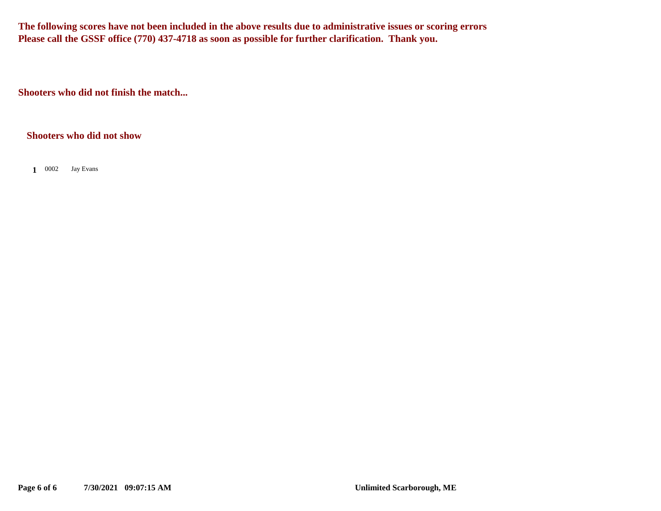**The following scores have not been included in the above results due to administrative issues or scoring errors Please call the GSSF office (770) 437-4718 as soon as possible for further clarification. Thank you.**

**Shooters who did not finish the match...**

#### **Shooters who did not show**

1 0002 Jay Evans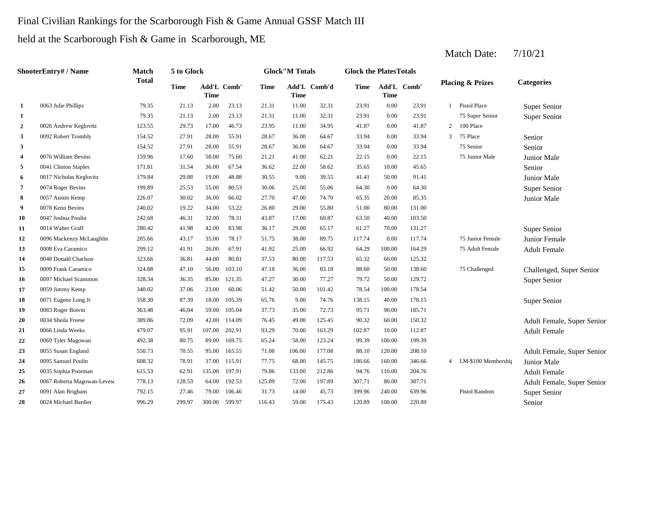#### Final Civilian Rankings for the Scarborough Fish & Game Annual GSSF Match III

held at the Scarborough Fish & Game in Scarborough, ME

| ShooterEntry# / Name |                             | <b>Match</b> | 5 to Glock  |             |             |        | <b>Glock</b> "M Totals |              |             | <b>Glock the PlatesTotals</b> |             |                                      |                             |                            |  |
|----------------------|-----------------------------|--------------|-------------|-------------|-------------|--------|------------------------|--------------|-------------|-------------------------------|-------------|--------------------------------------|-----------------------------|----------------------------|--|
|                      |                             | <b>Total</b> | <b>Time</b> | <b>Time</b> | Add'L Comb' | Time   | <b>Time</b>            | Add'L Comb'd | <b>Time</b> | <b>Time</b>                   | Add'L Comb' |                                      | <b>Placing &amp; Prizes</b> | <b>Categories</b>          |  |
| 1                    | 0063 Julie Phillips         | 79.35        | 21.13       | 2.00        | 23.13       | 21.31  | 11.00                  | 32.31        | 23.91       | 0.00                          | 23.91       |                                      | 1 Pistol Place              | Super Senior               |  |
| 1                    |                             | 79.35        | 21.13       | 2.00        | 23.13       | 21.31  | 11.00                  | 32.31        | 23.91       | 0.00                          | 23.91       |                                      | 75 Super Senior             | Super Senior               |  |
| $\boldsymbol{2}$     | 0026 Andrew Keglovitz       | 123.55       | 29.73       | 17.00       | 46.73       | 23.95  | 11.00                  | 34.95        | 41.87       | 0.00                          | 41.87       | $\overline{2}$                       | 100 Place                   |                            |  |
| 3                    | 0092 Robert Trombly         | 154.52       | 27.91       | 28.00       | 55.91       | 28.67  | 36.00                  | 64.67        | 33.94       | 0.00                          | 33.94       | $\mathfrak{Z}$                       | 75 Place                    | Senior                     |  |
| 3                    |                             | 154.52       | 27.91       | 28.00       | 55.91       | 28.67  | 36.00                  | 64.67        | 33.94       | 0.00                          | 33.94       |                                      | 75 Senior                   | Senior                     |  |
| 4                    | 0076 William Bevins         | 159.96       | 17.60       | 58.00       | 75.60       | 21.21  | 41.00                  | 62.21        | 22.15       | 0.00                          | 22.15       |                                      | 75 Junior Male              | <b>Junior Male</b>         |  |
| 5                    | 0041 Clinton Staples        | 171.81       | 31.54       | 36.00       | 67.54       | 36.62  | 22.00                  | 58.62        | 35.65       | 10.00                         | 45.65       |                                      |                             | Senior                     |  |
| 6                    | 0017 Nicholas Keglovitz     | 179.84       | 29.88       | 19.00       | 48.88       | 30.55  | 9.00                   | 39.55        | 41.41       | 50.00                         | 91.41       |                                      |                             | Junior Male                |  |
| 7                    | 0074 Roger Bevins           | 199.89       | 25.53       | 55.00       | 80.53       | 30.06  | 25.00                  | 55.06        | 64.30       | 0.00                          | 64.30       |                                      |                             | Super Senior               |  |
| 8                    | 0057 Austin Kemp            | 226.07       | 30.02       | 36.00       | 66.02       | 27.70  | 47.00                  | 74.70        | 65.35       | 20.00                         | 85.35       |                                      |                             | Junior Male                |  |
| 9                    | 0078 Kenn Bevins            | 240.02       | 19.22       | 34.00       | 53.22       | 26.80  | 29.00                  | 55.80        | 51.00       | 80.00                         | 131.00      |                                      |                             |                            |  |
| 10                   | 0047 Joshua Poulin          | 242.68       | 46.31       | 32.00       | 78.31       | 43.87  | 17.00                  | 60.87        | 63.50       | 40.00                         | 103.50      |                                      |                             |                            |  |
| 11                   | 0014 Walter Graff           | 280.42       | 41.98       | 42.00       | 83.98       | 36.17  | 29.00                  | 65.17        | 61.27       | 70.00                         | 131.27      |                                      |                             | Super Senior               |  |
| 12                   | 0096 Mackenzy McLaughlin    | 285.66       | 43.17       | 35.00       | 78.17       | 51.75  | 38.00                  | 89.75        | 117.74      | 0.00                          | 117.74      |                                      | 75 Junior Female            | Junior Female              |  |
| 13                   | 0008 Eva Caramico           | 299.12       | 41.91       | 26.00       | 67.91       | 41.92  | 25.00                  | 66.92        | 64.29       | 100.00                        | 164.29      |                                      | 75 Adult Female             | <b>Adult Female</b>        |  |
| 14                   | 0048 Donald Charlson        | 323.66       | 36.81       | 44.00       | 80.81       | 37.53  | 80.00                  | 117.53       | 65.32       | 60.00                         | 125.32      |                                      |                             |                            |  |
| 15                   | 0009 Frank Caramico         | 324.88       | 47.10       | 56.00       | 103.10      | 47.18  | 36.00                  | 83.18        | 88.60       | 50.00                         | 138.60      |                                      | 75 Challenged               | Challenged, Super Senior   |  |
| 16                   | 0097 Michael Scammon        | 328.34       | 36.35       | 85.00       | 121.35      | 47.27  | 30.00                  | 77.27        | 79.72       | 50.00                         | 129.72      |                                      |                             | Super Senior               |  |
| 17                   | 0059 Jimmy Kemp             | 340.02       | 37.06       | 23.00       | 60.06       | 51.42  | 50.00                  | 101.42       | 78.54       | 100.00                        | 178.54      |                                      |                             |                            |  |
| 18                   | 0071 Eugene Long Jr         | 358.30       | 87.39       | 18.00       | 105.39      | 65.76  | 9.00                   | 74.76        | 138.15      | 40.00                         | 178.15      |                                      |                             | Super Senior               |  |
| 19                   | 0083 Roger Boivin           | 363.48       | 46.04       | 59.00       | 105.04      | 37.73  | 35.00                  | 72.73        | 95.71       | 90.00                         | 185.71      |                                      |                             |                            |  |
| 20                   | 0034 Sheila Freese          | 389.86       | 72.09       | 42.00       | 114.09      | 76.45  | 49.00                  | 125.45       | 90.32       | 60.00                         | 150.32      |                                      |                             | Adult Female, Super Senior |  |
| 21                   | 0066 Linda Weeks            | 479.07       | 95.91       | 107.00      | 202.91      | 93.29  | 70.00                  | 163.29       | 102.87      | 10.00                         | 112.87      |                                      |                             | <b>Adult Female</b>        |  |
| 22                   | 0069 Tyler Magowan          | 492.38       | 80.75       | 89.00       | 169.75      | 65.24  | 58.00                  | 123.24       | 99.39       | 100.00                        | 199.39      |                                      |                             |                            |  |
| 23                   | 0055 Susan England          | 550.73       | 70.55       | 95.00       | 165.55      | 71.08  | 106.00                 | 177.08       | 88.10       | 120.00                        | 208.10      |                                      |                             | Adult Female, Super Senior |  |
| 24                   | 0095 Samuel Poulin          | 608.32       | 78.91       | 37.00       | 115.91      | 77.75  | 68.00                  | 145.75       | 186.66      | 160.00                        | 346.66      |                                      | 4 LM-\$100 Membership       | Junior Male                |  |
| 25                   | 0035 Sophia Poorman         | 615.53       | 62.91       | 135.00      | 197.91      | 79.86  | 133.00                 | 212.86       | 94.76       | 110.00                        | 204.76      |                                      |                             | <b>Adult Female</b>        |  |
| 26                   | 0067 Roberta Magowan-Levesc | 778.13       | 128.53      | 64.00       | 192.53      | 125.89 | 72.00                  | 197.89       | 307.71      | 80.00                         | 387.71      |                                      |                             | Adult Female, Super Senior |  |
| 27                   | 0091 Alan Brigham           | 792.15       | 27.46       | 79.00       | 106.46      | 31.73  | 14.00                  | 45.73        | 399.96      | 240.00                        | 639.96      | <b>Pistol Random</b><br>Super Senior |                             |                            |  |
| 28                   | 0024 Michael Bardier        | 996.29       | 299.97      | 300.00      | 599.97      | 116.43 | 59.00                  | 175.43       | 120.89      | 100.00                        | 220.89      | Senior                               |                             |                            |  |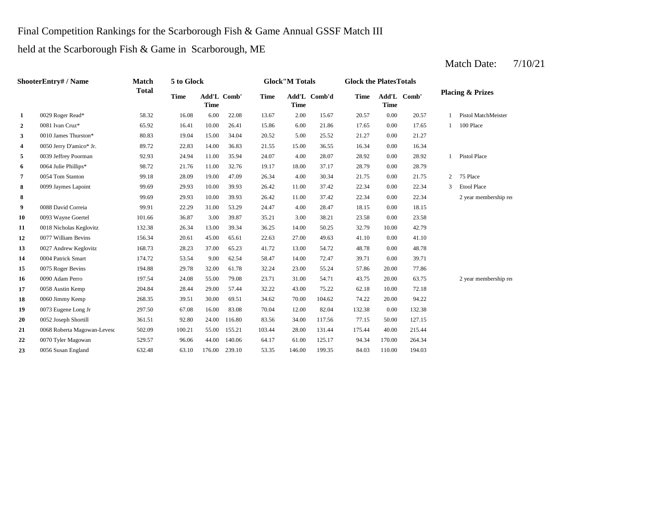### Final Competition Rankings for the Scarborough Fish & Game Annual GSSF Match III

held at the Scarborough Fish & Game in Scarborough, ME

| <b>ShooterEntry#/Name</b> |                             | Match        | 5 to Glock  |                            | <b>Glock</b> "M Totals |             |             |              | <b>Glock the PlatesTotals</b> |             |             |              |                             |  |
|---------------------------|-----------------------------|--------------|-------------|----------------------------|------------------------|-------------|-------------|--------------|-------------------------------|-------------|-------------|--------------|-----------------------------|--|
|                           |                             | <b>Total</b> | <b>Time</b> | Add'L Comb'<br><b>Time</b> |                        | <b>Time</b> | <b>Time</b> | Add'L Comb'd | Time                          | <b>Time</b> | Add'L Comb' |              | <b>Placing &amp; Prizes</b> |  |
| 1                         | 0029 Roger Read*            | 58.32        | 16.08       | 6.00                       | 22.08                  | 13.67       | 2.00        | 15.67        | 20.57                         | 0.00        | 20.57       | $\mathbf{1}$ | <b>Pistol MatchMeister</b>  |  |
| $\overline{2}$            | 0081 Ivan Cruz*             | 65.92        | 16.41       | 10.00                      | 26.41                  | 15.86       | 6.00        | 21.86        | 17.65                         | 0.00        | 17.65       | $\mathbf{1}$ | 100 Place                   |  |
| 3                         | 0010 James Thurston*        | 80.83        | 19.04       | 15.00                      | 34.04                  | 20.52       | 5.00        | 25.52        | 21.27                         | 0.00        | 21.27       |              |                             |  |
| 4                         | 0050 Jerry D'amico* Jr.     | 89.72        | 22.83       | 14.00                      | 36.83                  | 21.55       | 15.00       | 36.55        | 16.34                         | 0.00        | 16.34       |              |                             |  |
| 5                         | 0039 Jeffrey Poorman        | 92.93        | 24.94       | 11.00                      | 35.94                  | 24.07       | 4.00        | 28.07        | 28.92                         | 0.00        | 28.92       | $\mathbf{1}$ | Pistol Place                |  |
| 6                         | 0064 Julie Phillips*        | 98.72        | 21.76       | 11.00                      | 32.76                  | 19.17       | 18.00       | 37.17        | 28.79                         | 0.00        | 28.79       |              |                             |  |
| 7                         | 0054 Tom Stanton            | 99.18        | 28.09       | 19.00                      | 47.09                  | 26.34       | 4.00        | 30.34        | 21.75                         | 0.00        | 21.75       | 2            | 75 Place                    |  |
| 8                         | 0099 Jaymes Lapoint         | 99.69        | 29.93       | 10.00                      | 39.93                  | 26.42       | 11.00       | 37.42        | 22.34                         | 0.00        | 22.34       | 3            | <b>Etool Place</b>          |  |
| 8                         |                             | 99.69        | 29.93       | 10.00                      | 39.93                  | 26.42       | 11.00       | 37.42        | 22.34                         | 0.00        | 22.34       |              | 2 year membership rea       |  |
| 9                         | 0088 David Correia          | 99.91        | 22.29       | 31.00                      | 53.29                  | 24.47       | 4.00        | 28.47        | 18.15                         | 0.00        | 18.15       |              |                             |  |
| 10                        | 0093 Wayne Goertel          | 101.66       | 36.87       | 3.00                       | 39.87                  | 35.21       | 3.00        | 38.21        | 23.58                         | 0.00        | 23.58       |              |                             |  |
| 11                        | 0018 Nicholas Keglovitz     | 132.38       | 26.34       | 13.00                      | 39.34                  | 36.25       | 14.00       | 50.25        | 32.79                         | 10.00       | 42.79       |              |                             |  |
| 12                        | 0077 William Bevins         | 156.34       | 20.61       | 45.00                      | 65.61                  | 22.63       | 27.00       | 49.63        | 41.10                         | 0.00        | 41.10       |              |                             |  |
| 13                        | 0027 Andrew Keglovitz       | 168.73       | 28.23       | 37.00                      | 65.23                  | 41.72       | 13.00       | 54.72        | 48.78                         | 0.00        | 48.78       |              |                             |  |
| 14                        | 0004 Patrick Smart          | 174.72       | 53.54       | 9.00                       | 62.54                  | 58.47       | 14.00       | 72.47        | 39.71                         | 0.00        | 39.71       |              |                             |  |
| 15                        | 0075 Roger Bevins           | 194.88       | 29.78       | 32.00                      | 61.78                  | 32.24       | 23.00       | 55.24        | 57.86                         | 20.00       | 77.86       |              |                             |  |
| 16                        | 0090 Adam Perro             | 197.54       | 24.08       | 55.00                      | 79.08                  | 23.71       | 31.00       | 54.71        | 43.75                         | 20.00       | 63.75       |              | 2 year membership rea       |  |
| 17                        | 0058 Austin Kemp            | 204.84       | 28.44       | 29.00                      | 57.44                  | 32.22       | 43.00       | 75.22        | 62.18                         | 10.00       | 72.18       |              |                             |  |
| 18                        | 0060 Jimmy Kemp             | 268.35       | 39.51       | 30.00                      | 69.51                  | 34.62       | 70.00       | 104.62       | 74.22                         | 20.00       | 94.22       |              |                             |  |
| 19                        | 0073 Eugene Long Jr         | 297.50       | 67.08       | 16.00                      | 83.08                  | 70.04       | 12.00       | 82.04        | 132.38                        | 0.00        | 132.38      |              |                             |  |
| 20                        | 0052 Joseph Shortill        | 361.51       | 92.80       | 24.00                      | 116.80                 | 83.56       | 34.00       | 117.56       | 77.15                         | 50.00       | 127.15      |              |                             |  |
| 21                        | 0068 Roberta Magowan-Levesc | 502.09       | 100.21      | 55.00                      | 155.21                 | 103.44      | 28.00       | 131.44       | 175.44                        | 40.00       | 215.44      |              |                             |  |
| 22                        | 0070 Tyler Magowan          | 529.57       | 96.06       | 44.00                      | 140.06                 | 64.17       | 61.00       | 125.17       | 94.34                         | 170.00      | 264.34      |              |                             |  |
| 23                        | 0056 Susan England          | 632.48       | 63.10       | 176.00                     | 239.10                 | 53.35       | 146.00      | 199.35       | 84.03                         | 110.00      | 194.03      |              |                             |  |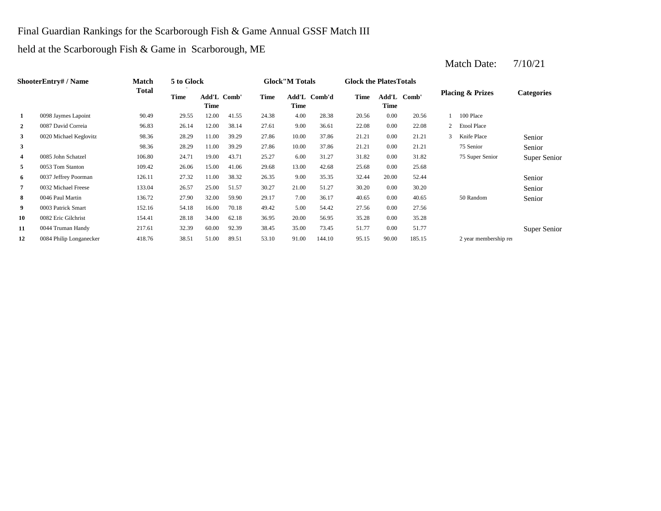### Final Guardian Rankings for the Scarborough Fish & Game Annual GSSF Match III

held at the Scarborough Fish & Game in Scarborough, ME

| <b>ShooterEntry#/Name</b> |                         | Match  | 5 to Glock |               |       |             | <b>Glock</b> "M Totals |        | <b>Glock the Plates Totals</b> |          |             |   |                             |                   |
|---------------------------|-------------------------|--------|------------|---------------|-------|-------------|------------------------|--------|--------------------------------|----------|-------------|---|-----------------------------|-------------------|
|                           |                         | Total  | Time       | Add'L<br>Time | Comb' | <b>Time</b> | Add'L<br>Time          | Comb'd | Time                           | Time     | Add'L Comb' |   | <b>Placing &amp; Prizes</b> | <b>Categories</b> |
| 1                         | 0098 Jaymes Lapoint     | 90.49  | 29.55      | 12.00         | 41.55 | 24.38       | 4.00                   | 28.38  | 20.56                          | 0.00     | 20.56       |   | 100 Place                   |                   |
| $\overline{2}$            | 0087 David Correia      | 96.83  | 26.14      | 12.00         | 38.14 | 27.61       | 9.00                   | 36.61  | 22.08                          | $0.00\,$ | 22.08       | 2 | <b>Etool Place</b>          |                   |
| 3                         | 0020 Michael Keglovitz  | 98.36  | 28.29      | 11.00         | 39.29 | 27.86       | 10.00                  | 37.86  | 21.21                          | 0.00     | 21.21       |   | Knife Place                 | Senior            |
| 3                         |                         | 98.36  | 28.29      | 11.00         | 39.29 | 27.86       | 10.00                  | 37.86  | 21.21                          | $0.00\,$ | 21.21       |   | 75 Senior                   | Senior            |
| 4                         | 0085 John Schatzel      | 106.80 | 24.71      | 19.00         | 43.71 | 25.27       | 6.00                   | 31.27  | 31.82                          | $0.00\,$ | 31.82       |   | 75 Super Senior             | Super Senior      |
| 5                         | 0053 Tom Stanton        | 109.42 | 26.06      | 15.00         | 41.06 | 29.68       | 13.00                  | 42.68  | 25.68                          | $0.00\,$ | 25.68       |   |                             |                   |
| 6                         | 0037 Jeffrey Poorman    | 126.11 | 27.32      | 11.00         | 38.32 | 26.35       | 9.00                   | 35.35  | 32.44                          | 20.00    | 52.44       |   |                             | Senior            |
| 7                         | 0032 Michael Freese     | 133.04 | 26.57      | 25.00         | 51.57 | 30.27       | 21.00                  | 51.27  | 30.20                          | $0.00\,$ | 30.20       |   |                             | Senior            |
| 8                         | 0046 Paul Martin        | 136.72 | 27.90      | 32.00         | 59.90 | 29.17       | 7.00                   | 36.17  | 40.65                          | 0.00     | 40.65       |   | 50 Random                   | Senior            |
| 9                         | 0003 Patrick Smart      | 152.16 | 54.18      | 16.00         | 70.18 | 49.42       | 5.00                   | 54.42  | 27.56                          | $0.00\,$ | 27.56       |   |                             |                   |
| 10                        | 0082 Eric Gilchrist     | 154.41 | 28.18      | 34.00         | 62.18 | 36.95       | 20.00                  | 56.95  | 35.28                          | $0.00\,$ | 35.28       |   |                             |                   |
| 11                        | 0044 Truman Handy       | 217.61 | 32.39      | 60.00         | 92.39 | 38.45       | 35.00                  | 73.45  | 51.77                          | 0.00     | 51.77       |   |                             | Super Senior      |
| 12                        | 0084 Philip Longanecker | 418.76 | 38.51      | 51.00         | 89.51 | 53.10       | 91.00                  | 144.10 | 95.15                          | 90.00    | 185.15      |   | 2 year membership rea       |                   |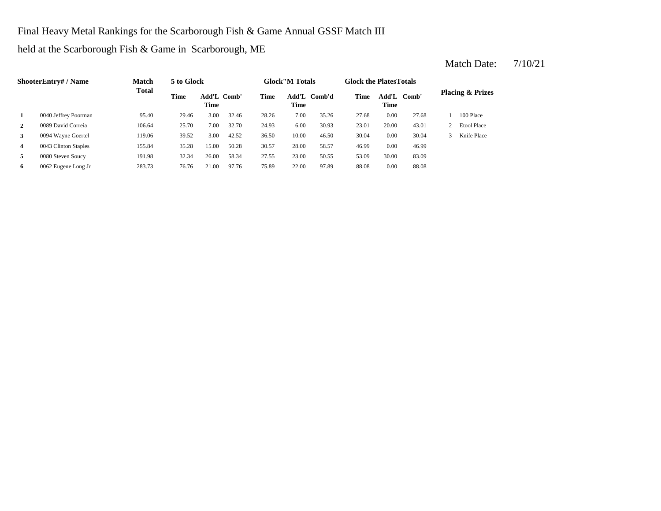Final Heavy Metal Rankings for the Scarborough Fish & Game Annual GSSF Match III

held at the Scarborough Fish & Game in Scarborough, ME

| <b>ShooterEntry#/Name</b> |                      | <b>Match</b> | 5 to Glock  |                            |       | <b>Glock</b> "M Totals |                      |        | <b>Glock the PlatesTotals</b> |             |             |                             |
|---------------------------|----------------------|--------------|-------------|----------------------------|-------|------------------------|----------------------|--------|-------------------------------|-------------|-------------|-----------------------------|
|                           |                      | Total        | <b>Time</b> | Add'L Comb'<br><b>Time</b> |       | Time                   | Add'L<br><b>Time</b> | Comb'd | <b>Time</b>                   | <b>Time</b> | Add'L Comb' | <b>Placing &amp; Prizes</b> |
| 1                         | 0040 Jeffrey Poorman | 95.40        | 29.46       | 3.00                       | 32.46 | 28.26                  | 7.00                 | 35.26  | 27.68                         | 0.00        | 27.68       | 100 Place                   |
| $\mathbf{2}$              | 0089 David Correia   | 106.64       | 25.70       | 7.00                       | 32.70 | 24.93                  | 6.00                 | 30.93  | 23.01                         | 20.00       | 43.01       | <b>Etool Place</b>          |
| 3                         | 0094 Wayne Goertel   | 119.06       | 39.52       | 3.00                       | 42.52 | 36.50                  | 10.00                | 46.50  | 30.04                         | 0.00        | 30.04       | Knife Place                 |
| $\overline{4}$            | 0043 Clinton Staples | 155.84       | 35.28       | 15.00                      | 50.28 | 30.57                  | 28.00                | 58.57  | 46.99                         | 0.00        | 46.99       |                             |
| 5                         | 0080 Steven Soucy    | 191.98       | 32.34       | 26.00                      | 58.34 | 27.55                  | 23.00                | 50.55  | 53.09                         | 30.00       | 83.09       |                             |
| 6                         | 0062 Eugene Long Jr  | 283.73       | 76.76       | 21.00                      | 97.76 | 75.89                  | 22.00                | 97.89  | 88.08                         | 0.00        | 88.08       |                             |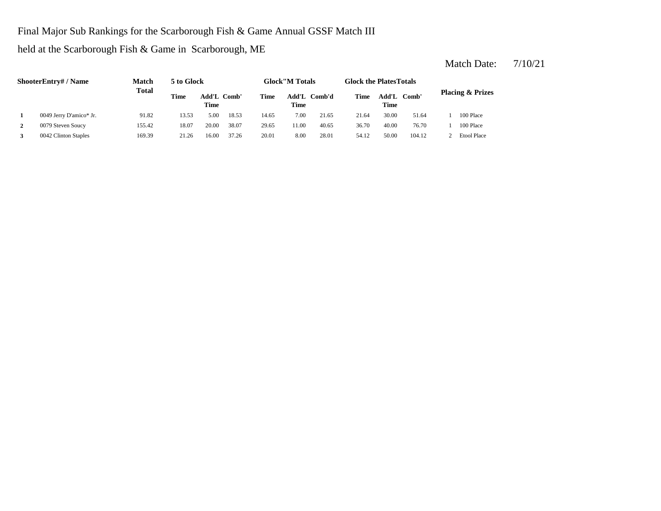### Final Major Sub Rankings for the Scarborough Fish & Game Annual GSSF Match III

held at the Scarborough Fish & Game in Scarborough, ME

| <b>ShooterEntry#/Name</b> |                         | <b>Match</b> | 5 to Glock |                                                     |       | <b>Glock</b> "M Totals |       |             | <b>Glock the PlatesTotals</b> |       |        |                    |
|---------------------------|-------------------------|--------------|------------|-----------------------------------------------------|-------|------------------------|-------|-------------|-------------------------------|-------|--------|--------------------|
|                           |                         | <b>Total</b> | Time       | Add'L Comb'd<br>Add'L Comb'<br>Time<br>Time<br>Time |       | Time                   | Time  | Add'L Comb' | <b>Placing &amp; Prizes</b>   |       |        |                    |
|                           | 0049 Jerry D'amico* Jr. | 91.82        | 13.53      | 5.00                                                | 18.53 | 14.65                  | 7.00  | 21.65       | 21.64                         | 30.00 | 51.64  | 100 Place          |
| 2                         | 0079 Steven Soucy       | 155.42       | 18.07      | 20.00                                               | 38.07 | 29.65                  | 11.00 | 40.65       | 36.70                         | 40.00 | 76.70  | 100 Place          |
|                           | 0042 Clinton Staples    | 169.39       | 21.26      | 16.00                                               | 37.26 | 20.01                  | 8.00  | 28.01       | 54.12                         | 50.00 | 104.12 | <b>Etool Place</b> |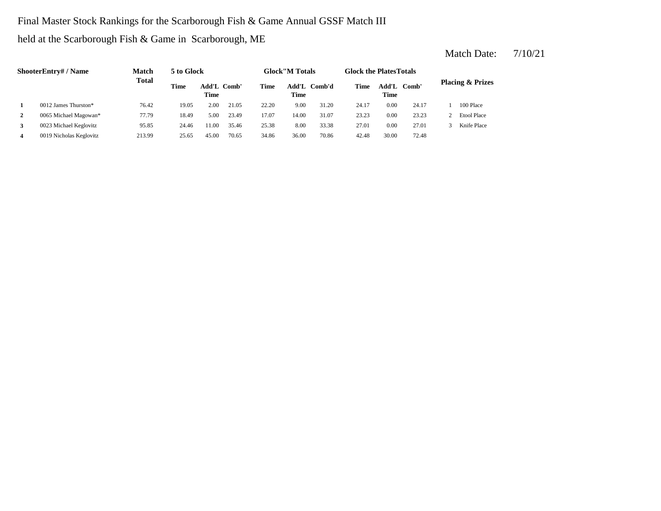## Final Master Stock Rankings for the Scarborough Fish & Game Annual GSSF Match III

held at the Scarborough Fish & Game in Scarborough, ME

| <b>ShooterEntry#/Name</b> |                         | Match        | 5 to Glock                         |       |       | <b>Glock</b> "M Totals |       |              | <b>Glock the Plates Totals</b> |               |       |                             |                    |
|---------------------------|-------------------------|--------------|------------------------------------|-------|-------|------------------------|-------|--------------|--------------------------------|---------------|-------|-----------------------------|--------------------|
|                           |                         | <b>Total</b> | <b>Time</b><br>Add'L Comb'<br>Time |       |       | Time                   | Time  | Add'L Comb'd | Time                           | Add'L<br>Time | Comb' | <b>Placing &amp; Prizes</b> |                    |
|                           | $0012$ James Thurston*  | 76.42        | 19.05                              | 2.00  | 21.05 | 22.20                  | 9.00  | 31.20        | 24.17                          | 0.00          | 24.17 |                             | 100 Place          |
| 2                         | 0065 Michael Magowan*   | 77.79        | 18.49                              | 5.00  | 23.49 | 17.07                  | 14.00 | 31.07        | 23.23                          | 0.00          | 23.23 |                             | <b>Etool Place</b> |
| 3                         | 0023 Michael Keglovitz  | 95.85        | 24.46                              | 1.00  | 35.46 | 25.38                  | 8.00  | 33.38        | 27.01                          | 0.00          | 27.01 |                             | Knife Place        |
|                           | 0019 Nicholas Keglovitz | 213.99       | 25.65                              | 45.00 | 70.65 | 34.86                  | 36.00 | 70.86        | 42.48                          | 30.00         | 72.48 |                             |                    |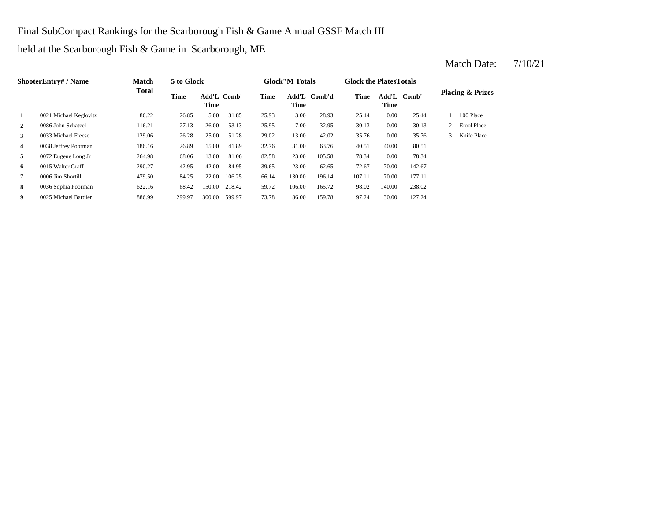### Final SubCompact Rankings for the Scarborough Fish & Game Annual GSSF Match III

held at the Scarborough Fish & Game in Scarborough, ME

| <b>ShooterEntry#/Name</b> |                        | <b>Match</b> | 5 to Glock |                            |        |       | <b>Glock</b> "M Totals |              |             | <b>Glock the Plates Totals</b> |        |                             |                    |
|---------------------------|------------------------|--------------|------------|----------------------------|--------|-------|------------------------|--------------|-------------|--------------------------------|--------|-----------------------------|--------------------|
|                           |                        | <b>Total</b> | Time       | Add'L Comb'<br><b>Time</b> |        | Time  | <b>Time</b>            | Add'L Comb'd | <b>Time</b> | Add'L Comb'<br><b>Time</b>     |        | <b>Placing &amp; Prizes</b> |                    |
| 1                         | 0021 Michael Keglovitz | 86.22        | 26.85      | 5.00                       | 31.85  | 25.93 | 3.00                   | 28.93        | 25.44       | 0.00                           | 25.44  |                             | 100 Place          |
| $\mathbf{2}$              | 0086 John Schatzel     | 116.21       | 27.13      | 26.00                      | 53.13  | 25.95 | 7.00                   | 32.95        | 30.13       | 0.00                           | 30.13  | $\mathbf{2}$                | <b>Etool Place</b> |
| 3                         | 0033 Michael Freese    | 129.06       | 26.28      | 25.00                      | 51.28  | 29.02 | 13.00                  | 42.02        | 35.76       | 0.00                           | 35.76  | 3                           | Knife Place        |
| 4                         | 0038 Jeffrey Poorman   | 186.16       | 26.89      | 15.00                      | 41.89  | 32.76 | 31.00                  | 63.76        | 40.51       | 40.00                          | 80.51  |                             |                    |
| 5                         | 0072 Eugene Long Jr    | 264.98       | 68.06      | 13.00                      | 81.06  | 82.58 | 23.00                  | 105.58       | 78.34       | 0.00                           | 78.34  |                             |                    |
| 6                         | 0015 Walter Graff      | 290.27       | 42.95      | 42.00                      | 84.95  | 39.65 | 23.00                  | 62.65        | 72.67       | 70.00                          | 142.67 |                             |                    |
| 7                         | 0006 Jim Shortill      | 479.50       | 84.25      | 22.00                      | 106.25 | 66.14 | 130.00                 | 196.14       | 107.11      | 70.00                          | 177.11 |                             |                    |
| 8                         | 0036 Sophia Poorman    | 622.16       | 68.42      | 150.00                     | 218.42 | 59.72 | 106.00                 | 165.72       | 98.02       | 140.00                         | 238.02 |                             |                    |
| 9                         | 0025 Michael Bardier   | 886.99       | 299.97     | 300.00                     | 599.97 | 73.78 | 86.00                  | 159.78       | 97.24       | 30.00                          | 127.24 |                             |                    |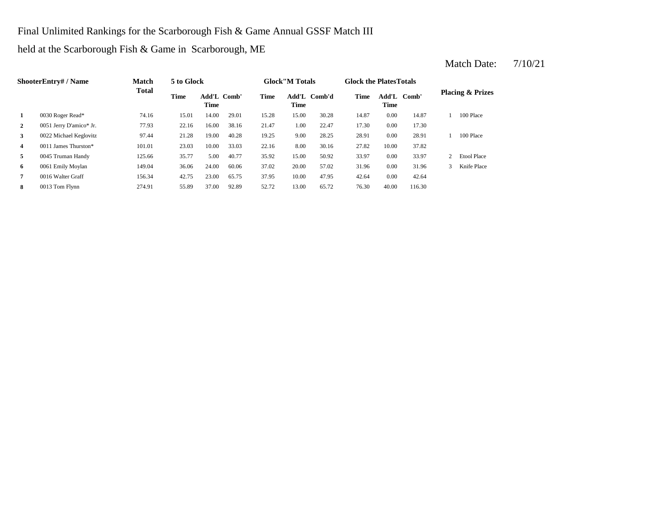### Final Unlimited Rankings for the Scarborough Fish & Game Annual GSSF Match III

held at the Scarborough Fish & Game in Scarborough, ME

| <b>ShooterEntry#/Name</b> |                         | <b>Match</b> | 5 to Glock                                |       |             | <b>Glock</b> "M Totals |        |             | <b>Glock the Plates Totals</b> |       |                             |               |                    |
|---------------------------|-------------------------|--------------|-------------------------------------------|-------|-------------|------------------------|--------|-------------|--------------------------------|-------|-----------------------------|---------------|--------------------|
|                           |                         | Total        | <b>Time</b><br>Add'L Comb'<br><b>Time</b> |       | <b>Time</b> | Add'L<br><b>Time</b>   | Comb'd | <b>Time</b> | Add'L Comb'<br>Time            |       | <b>Placing &amp; Prizes</b> |               |                    |
| 1                         | 0030 Roger Read*        | 74.16        | 15.01                                     | 14.00 | 29.01       | 15.28                  | 15.00  | 30.28       | 14.87                          | 0.00  | 14.87                       |               | 100 Place          |
| 2                         | 0051 Jerry D'amico* Jr. | 77.93        | 22.16                                     | 16.00 | 38.16       | 21.47                  | 1.00   | 22.47       | 17.30                          | 0.00  | 17.30                       |               |                    |
| 3                         | 0022 Michael Keglovitz  | 97.44        | 21.28                                     | 19.00 | 40.28       | 19.25                  | 9.00   | 28.25       | 28.91                          | 0.00  | 28.91                       |               | 100 Place          |
| $\overline{4}$            | 0011 James Thurston*    | 101.01       | 23.03                                     | 10.00 | 33.03       | 22.16                  | 8.00   | 30.16       | 27.82                          | 10.00 | 37.82                       |               |                    |
| 5 <sub>5</sub>            | 0045 Truman Handy       | 125.66       | 35.77                                     | 5.00  | 40.77       | 35.92                  | 15.00  | 50.92       | 33.97                          | 0.00  | 33.97                       | 2             | <b>Etool Place</b> |
| 6                         | 0061 Emily Moylan       | 149.04       | 36.06                                     | 24.00 | 60.06       | 37.02                  | 20.00  | 57.02       | 31.96                          | 0.00  | 31.96                       | $\mathcal{R}$ | Knife Place        |
| 7                         | 0016 Walter Graff       | 156.34       | 42.75                                     | 23.00 | 65.75       | 37.95                  | 10.00  | 47.95       | 42.64                          | 0.00  | 42.64                       |               |                    |
| 8                         | 0013 Tom Flynn          | 274.91       | 55.89                                     | 37.00 | 92.89       | 52.72                  | 13.00  | 65.72       | 76.30                          | 40.00 | 116.30                      |               |                    |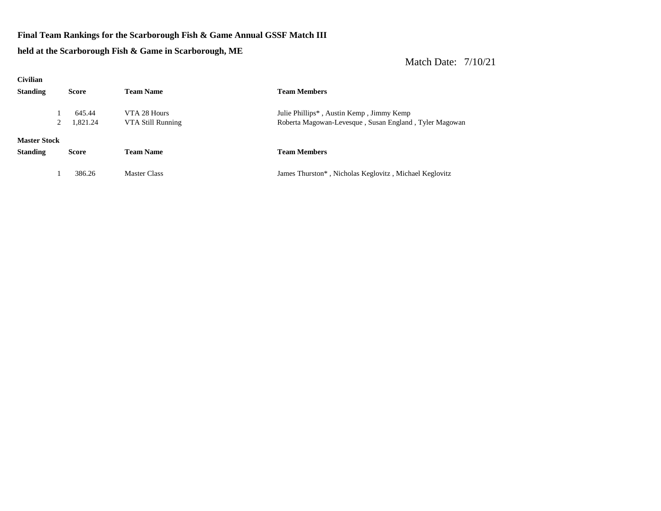#### **Final Team Rankings for the Scarborough Fish & Game Annual GSSF Match III**

**held at the Scarborough Fish & Game in Scarborough, ME**

| <b>Civilian</b>     |              |                     |                                                        |
|---------------------|--------------|---------------------|--------------------------------------------------------|
| <b>Standing</b>     | <b>Score</b> | <b>Team Name</b>    | <b>Team Members</b>                                    |
|                     | 645.44       | VTA 28 Hours        | Julie Phillips <sup>*</sup> , Austin Kemp, Jimmy Kemp  |
|                     | 1,821.24     | VTA Still Running   | Roberta Magowan-Levesque, Susan England, Tyler Magowan |
| <b>Master Stock</b> |              |                     |                                                        |
| <b>Standing</b>     | <b>Score</b> | <b>Team Name</b>    | <b>Team Members</b>                                    |
|                     | 386.26       | <b>Master Class</b> | James Thurston*, Nicholas Keglovitz, Michael Keglovitz |
|                     |              |                     |                                                        |